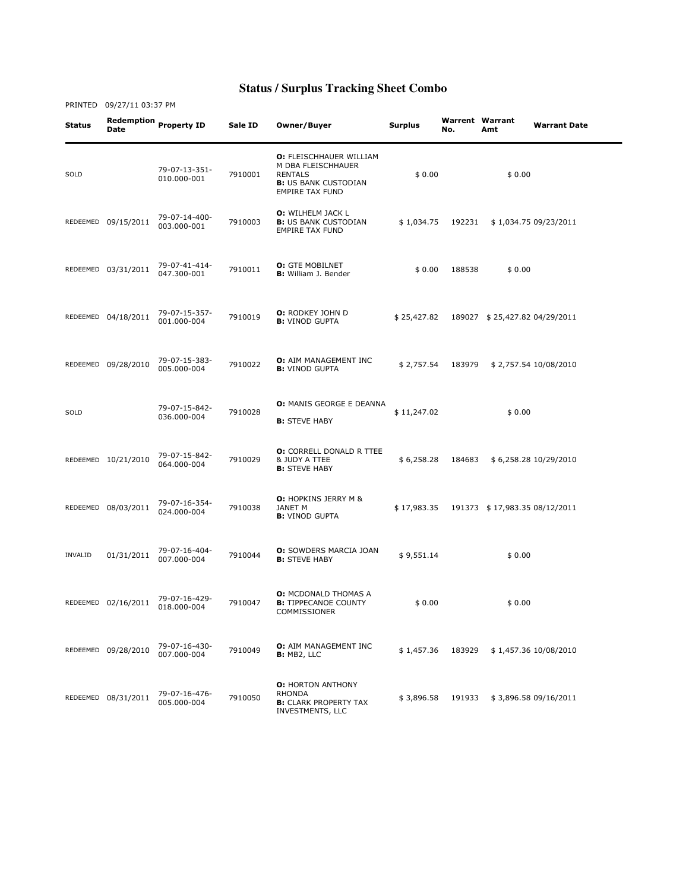| Status  | Redemption<br>Date  | <b>Property ID</b>           | Sale ID | Owner/Buyer                                                                                                                     | Surplus     | No.    | <b>Warrent Warrant</b><br>Amt | <b>Warrant Date</b>   |
|---------|---------------------|------------------------------|---------|---------------------------------------------------------------------------------------------------------------------------------|-------------|--------|-------------------------------|-----------------------|
| SOLD    |                     | 79-07-13-351-<br>010.000-001 | 7910001 | <b>O: FLEISCHHAUER WILLIAM</b><br>M DBA FLEISCHHAUER<br><b>RENTALS</b><br><b>B:</b> US BANK CUSTODIAN<br><b>EMPIRE TAX FUND</b> | \$0.00      |        | \$0.00                        |                       |
|         | REDEEMED 09/15/2011 | 79-07-14-400-<br>003.000-001 | 7910003 | <b>O:</b> WILHELM JACK L<br><b>B:</b> US BANK CUSTODIAN<br><b>EMPIRE TAX FUND</b>                                               | \$1,034.75  | 192231 |                               | \$1,034.75 09/23/2011 |
|         | REDEEMED 03/31/2011 | 79-07-41-414-<br>047.300-001 | 7910011 | <b>O:</b> GTE MOBILNET<br><b>B:</b> William J. Bender                                                                           | \$0.00      | 188538 | \$0.00                        |                       |
|         | REDEEMED 04/18/2011 | 79-07-15-357-<br>001.000-004 | 7910019 | <b>O:</b> RODKEY JOHN D<br><b>B:</b> VINOD GUPTA                                                                                | \$25,427.82 |        | 189027 \$25,427.82 04/29/2011 |                       |
|         | REDEEMED 09/28/2010 | 79-07-15-383-<br>005.000-004 | 7910022 | <b>O:</b> AIM MANAGEMENT INC<br><b>B:</b> VINOD GUPTA                                                                           | \$2,757.54  | 183979 |                               | \$2,757.54 10/08/2010 |
| SOLD    |                     | 79-07-15-842-<br>036.000-004 | 7910028 | <b>O: MANIS GEORGE E DEANNA</b><br><b>B:</b> STEVE HABY                                                                         | \$11,247.02 |        | \$0.00                        |                       |
|         | REDEEMED 10/21/2010 | 79-07-15-842-<br>064.000-004 | 7910029 | <b>O:</b> CORRELL DONALD R TTEE<br>& JUDY A TTEE<br><b>B:</b> STEVE HABY                                                        | \$6,258.28  | 184683 |                               | \$6,258.28 10/29/2010 |
|         | REDEEMED 08/03/2011 | 79-07-16-354-<br>024.000-004 | 7910038 | <b>O:</b> HOPKINS JERRY M &<br>JANET M<br><b>B:</b> VINOD GUPTA                                                                 | \$17,983.35 |        | 191373 \$17,983.35 08/12/2011 |                       |
| INVALID | 01/31/2011          | 79-07-16-404-<br>007.000-004 | 7910044 | <b>O:</b> SOWDERS MARCIA JOAN<br><b>B:</b> STEVE HABY                                                                           | \$9,551.14  |        | \$0.00                        |                       |
|         | REDEEMED 02/16/2011 | 79-07-16-429-<br>018.000-004 | 7910047 | <b>O: MCDONALD THOMAS A</b><br><b>B:</b> TIPPECANOE COUNTY<br>COMMISSIONER                                                      | \$0.00      |        | \$0.00                        |                       |
|         | REDEEMED 09/28/2010 | 79-07-16-430-<br>007.000-004 | 7910049 | <b>O:</b> AIM MANAGEMENT INC<br>B: MB2, LLC                                                                                     | \$1,457.36  | 183929 |                               | \$1,457.36 10/08/2010 |
|         | REDEEMED 08/31/2011 | 79-07-16-476-<br>005.000-004 | 7910050 | <b>O: HORTON ANTHONY</b><br><b>RHONDA</b><br><b>B:</b> CLARK PROPERTY TAX<br>INVESTMENTS, LLC                                   | \$3,896.58  | 191933 |                               | \$3,896.58 09/16/2011 |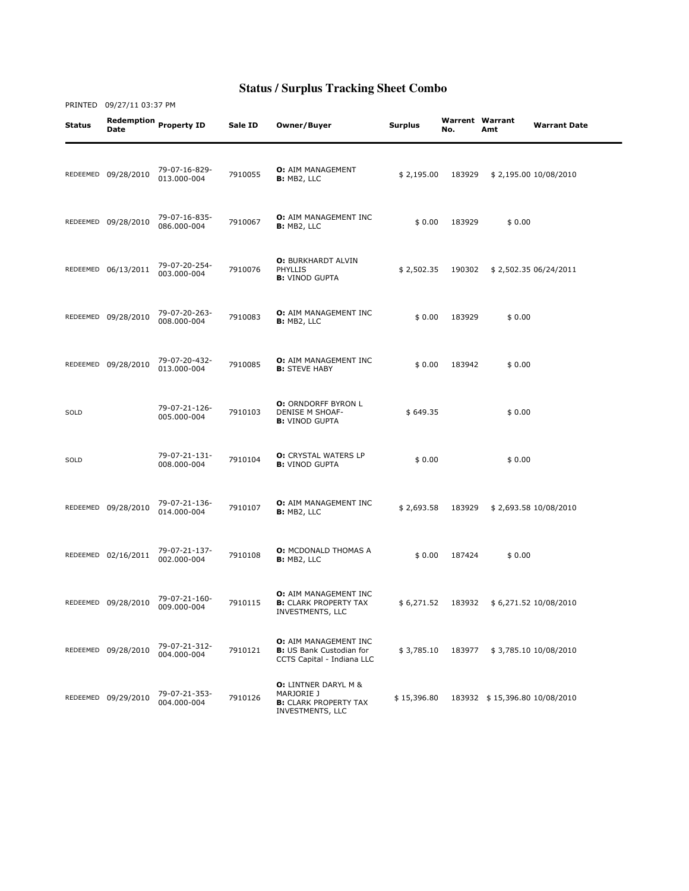| Status   | <b>Date</b>         | Redemption Property ID       | Sale ID | Owner/Buyer                                                                                   | Surplus     | <b>Warrent Warrant</b><br>No. | Amt                           | <b>Warrant Date</b>   |
|----------|---------------------|------------------------------|---------|-----------------------------------------------------------------------------------------------|-------------|-------------------------------|-------------------------------|-----------------------|
|          | REDEEMED 09/28/2010 | 79-07-16-829-<br>013.000-004 | 7910055 | <b>O:</b> AIM MANAGEMENT<br><b>B:</b> MB2, LLC                                                | \$2,195.00  | 183929                        |                               | \$2,195.00 10/08/2010 |
|          | REDEEMED 09/28/2010 | 79-07-16-835-<br>086.000-004 | 7910067 | <b>O:</b> AIM MANAGEMENT INC<br><b>B:</b> MB2, LLC                                            | \$0.00      | 183929                        | \$0.00                        |                       |
|          | REDEEMED 06/13/2011 | 79-07-20-254-<br>003.000-004 | 7910076 | <b>O: BURKHARDT ALVIN</b><br><b>PHYLLIS</b><br><b>B:</b> VINOD GUPTA                          | \$2,502.35  | 190302                        |                               | \$2,502.35 06/24/2011 |
|          | REDEEMED 09/28/2010 | 79-07-20-263-<br>008.000-004 | 7910083 | <b>O:</b> AIM MANAGEMENT INC<br><b>B:</b> MB2, LLC                                            | \$0.00      | 183929                        | \$0.00                        |                       |
|          | REDEEMED 09/28/2010 | 79-07-20-432-<br>013.000-004 | 7910085 | O: AIM MANAGEMENT INC<br><b>B:</b> STEVE HABY                                                 | \$0.00      | 183942                        | \$0.00                        |                       |
| SOLD     |                     | 79-07-21-126-<br>005.000-004 | 7910103 | <b>O:</b> ORNDORFF BYRON L<br>DENISE M SHOAF-<br><b>B:</b> VINOD GUPTA                        | \$649.35    |                               | \$0.00                        |                       |
| SOLD     |                     | 79-07-21-131-<br>008.000-004 | 7910104 | <b>O:</b> CRYSTAL WATERS LP<br><b>B:</b> VINOD GUPTA                                          | \$0.00      |                               | \$0.00                        |                       |
|          | REDEEMED 09/28/2010 | 79-07-21-136-<br>014.000-004 | 7910107 | <b>O:</b> AIM MANAGEMENT INC<br>B: MB2, LLC                                                   | \$2,693.58  | 183929                        |                               | \$2,693.58 10/08/2010 |
|          | REDEEMED 02/16/2011 | 79-07-21-137-<br>002.000-004 | 7910108 | <b>O:</b> MCDONALD THOMAS A<br>B: MB2, LLC                                                    | \$0.00      | 187424                        | \$0.00                        |                       |
|          | REDEEMED 09/28/2010 | 79-07-21-160-<br>009.000-004 | 7910115 | O: AIM MANAGEMENT INC<br><b>B:</b> CLARK PROPERTY TAX<br>INVESTMENTS, LLC                     | \$6,271.52  | 183932                        |                               | \$6,271.52 10/08/2010 |
|          | REDEEMED 09/28/2010 | 79-07-21-312-<br>004.000-004 | 7910121 | <b>O:</b> AIM MANAGEMENT INC<br><b>B:</b> US Bank Custodian for<br>CCTS Capital - Indiana LLC | \$3,785.10  | 183977                        |                               | \$3,785.10 10/08/2010 |
| REDEEMED | 09/29/2010          | 79-07-21-353-<br>004.000-004 | 7910126 | <b>O:</b> LINTNER DARYL M &<br>MARJORIE J<br><b>B:</b> CLARK PROPERTY TAX<br>INVESTMENTS, LLC | \$15,396.80 |                               | 183932 \$15,396.80 10/08/2010 |                       |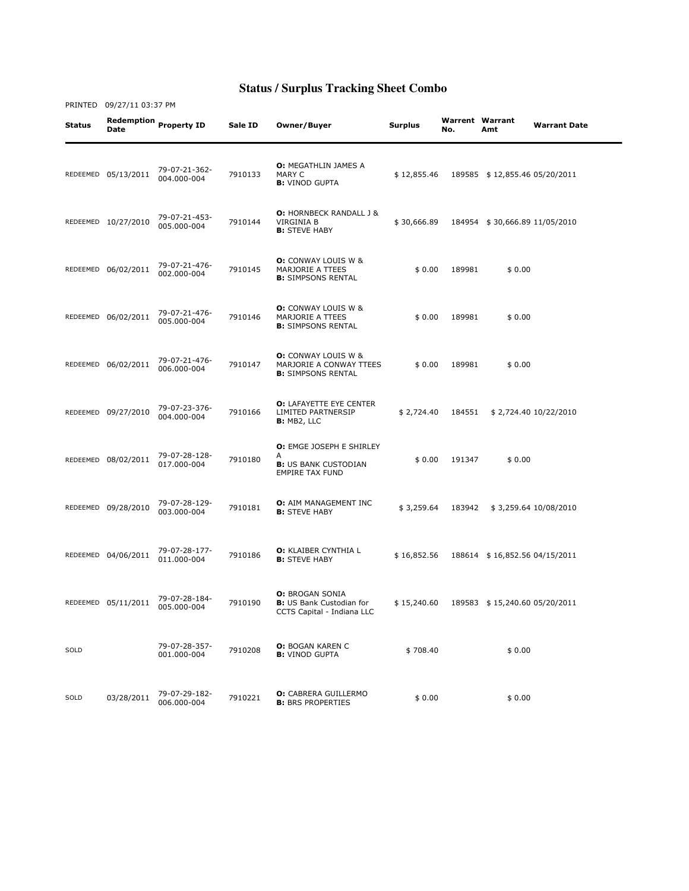PRINTED 09/27/11 03:37 PM

Status Redemption Date Property ID Sale ID Owner/Buyer Surplus Warrent No. Warrent Warrant<br>No. Amt **Warrant Date** REDEEMED 05/13/2011 79-07-21-362-004.000-004 <sup>7910133</sup> O: MEGATHLIN JAMES A MARY C **B: VINOD GUPTA** \$ 12,855.46 189585 \$ 12,855.46 05/20/2011 REDEEMED 10/27/2010 79-07-21-453-79-07-21-453-<br>005.000-004 7910144 O: HORNBECK RANDALL J & VIRGINIA B **B:** STEVE HABY \$ 30,666.89 184954 \$ 30,666.89 11/05/2010 REDEEMED 06/02/2011 79-07-21-476-002.000-004 <sup>7910145</sup> O: CONWAY LOUIS W & MARJORIE A TTEES **B:** SIMPSONS RENTAL \$ 0.00 189981 \$ 0.00 REDEEMED 06/02/2011 79-07-21-476- 005.000-004 <sup>7910146</sup> **O:** CONWAY LOUIS W & MARJORIE A TTEES **B:** SIMPSONS RENTAL \$ 0.00 189981 \$ 0.00 REDEEMED 06/02/2011 79-07-21-476-006.000-004 <sup>7910147</sup> O: CONWAY LOUIS W & MARJORIE A CONWAY TTEES **B:** SIMPSONS RENTAL  $$0.00$  189981  $$0.00$ REDEEMED 09/27/2010 79-07-23-376- 004.000-004 <sup>7910166</sup> O: LAFAYETTE EYE CENTER LIMITED PARTNERSIP B: MB2, LLC \$ 2,724.40 184551 \$ 2,724.40 10/22/2010 REDEEMED 08/02/2011 79-07-28-128-017.000-004 <sup>7910180</sup> O: EMGE JOSEPH E SHIRLEY A<br>**B:** US BANK CUSTODIAN EMPIRE TAX FUND \$ 0.00 191347 \$ 0.00 REDEEMED 09/28/2010 79-07-28-129- 7910181 **O:** AIM MANAGEMENT INC<br>**B:** STEVE HABY B: STEVE HABY \$ 3,259.64 183942 \$ 3,259.64 10/08/2010 REDEEMED 04/06/2011 79-07-28-177- 7910186 **O:** KLAIBER CYNTHIA L<br>**B:** STEVE HABY B: STEVE HABY \$ 16,852.56 188614 \$ 16,852.56 04/15/2011 REDEEMED 05/11/2011 79-07-28-184- 79-07-28-184-<br>005.000-004 7910190 O: BROGAN SONIA **B: US Bank Custodian for** CCTS Capital - Indiana LLC \$ 15,240.60 189583 \$ 15,240.60 05/20/2011 SOLD 79-07-28-357-<br>001.000-004 79-07-28-357- 7910208 **O:** BOGAN KAREN C \$ 708.40 \$ 0.00<br>001.000-004 7910208 **B:** VINOD GUPTA SOLD 03/28/2011 79-07-29-182- 79-07-29-182- 7910221 **O:** CABRERA GUILLERMO \$ 0.00 \$ 0.00<br>006.000-004 7910221 **B:** BRS PROPERTIES \$ 0.00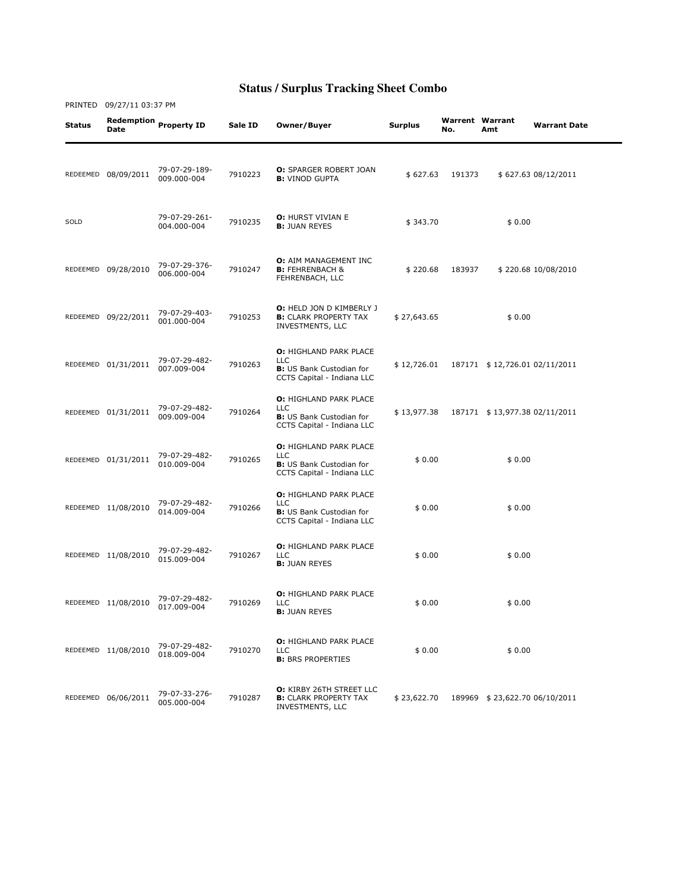| Status | Date                | Redemption Property ID       | Sale ID | Owner/Buyer                                                                                                  | <b>Surplus</b> | <b>Warrent Warrant</b><br>No. | Amt                           | <b>Warrant Date</b> |
|--------|---------------------|------------------------------|---------|--------------------------------------------------------------------------------------------------------------|----------------|-------------------------------|-------------------------------|---------------------|
|        | REDEEMED 08/09/2011 | 79-07-29-189-<br>009.000-004 | 7910223 | <b>O:</b> SPARGER ROBERT JOAN<br><b>B:</b> VINOD GUPTA                                                       | \$627.63       | 191373                        |                               | \$627.63 08/12/2011 |
| SOLD   |                     | 79-07-29-261-<br>004.000-004 | 7910235 | <b>O: HURST VIVIAN E</b><br><b>B: JUAN REYES</b>                                                             | \$343.70       |                               | \$0.00                        |                     |
|        | REDEEMED 09/28/2010 | 79-07-29-376-<br>006.000-004 | 7910247 | <b>O:</b> AIM MANAGEMENT INC<br><b>B:</b> FEHRENBACH &<br>FEHRENBACH, LLC                                    | \$220.68       | 183937                        |                               | \$220.68 10/08/2010 |
|        | REDEEMED 09/22/2011 | 79-07-29-403-<br>001.000-004 | 7910253 | <b>O:</b> HELD JON D KIMBERLY J<br><b>B:</b> CLARK PROPERTY TAX<br>INVESTMENTS, LLC                          | \$27,643.65    |                               | \$0.00                        |                     |
|        | REDEEMED 01/31/2011 | 79-07-29-482-<br>007.009-004 | 7910263 | <b>O: HIGHLAND PARK PLACE</b><br><b>LLC</b><br><b>B:</b> US Bank Custodian for<br>CCTS Capital - Indiana LLC | \$12,726.01    |                               | 187171 \$12,726.01 02/11/2011 |                     |
|        | REDEEMED 01/31/2011 | 79-07-29-482-<br>009.009-004 | 7910264 | O: HIGHLAND PARK PLACE<br><b>LLC</b><br><b>B:</b> US Bank Custodian for<br>CCTS Capital - Indiana LLC        | \$13,977.38    |                               | 187171 \$13,977.38 02/11/2011 |                     |
|        | REDEEMED 01/31/2011 | 79-07-29-482-<br>010.009-004 | 7910265 | <b>O: HIGHLAND PARK PLACE</b><br><b>LLC</b><br><b>B:</b> US Bank Custodian for<br>CCTS Capital - Indiana LLC | \$0.00         |                               | \$0.00                        |                     |
|        | REDEEMED 11/08/2010 | 79-07-29-482-<br>014.009-004 | 7910266 | O: HIGHLAND PARK PLACE<br><b>LLC</b><br><b>B:</b> US Bank Custodian for<br>CCTS Capital - Indiana LLC        | \$0.00         |                               | \$0.00                        |                     |
|        | REDEEMED 11/08/2010 | 79-07-29-482-<br>015.009-004 | 7910267 | <b>O: HIGHLAND PARK PLACE</b><br><b>LLC</b><br><b>B: JUAN REYES</b>                                          | \$0.00         |                               | \$0.00                        |                     |
|        | REDEEMED 11/08/2010 | 79-07-29-482-<br>017.009-004 | 7910269 | <b>O: HIGHLAND PARK PLACE</b><br><b>LLC</b><br><b>B: JUAN REYES</b>                                          | \$0.00         |                               | \$0.00                        |                     |
|        | REDEEMED 11/08/2010 | 79-07-29-482-<br>018.009-004 | 7910270 | <b>O: HIGHLAND PARK PLACE</b><br><b>LLC</b><br><b>B: BRS PROPERTIES</b>                                      | \$0.00         |                               | \$0.00                        |                     |
|        | REDEEMED 06/06/2011 | 79-07-33-276-<br>005.000-004 | 7910287 | <b>O:</b> KIRBY 26TH STREET LLC<br><b>B:</b> CLARK PROPERTY TAX<br>INVESTMENTS, LLC                          | \$23,622.70    |                               | 189969 \$23,622.70 06/10/2011 |                     |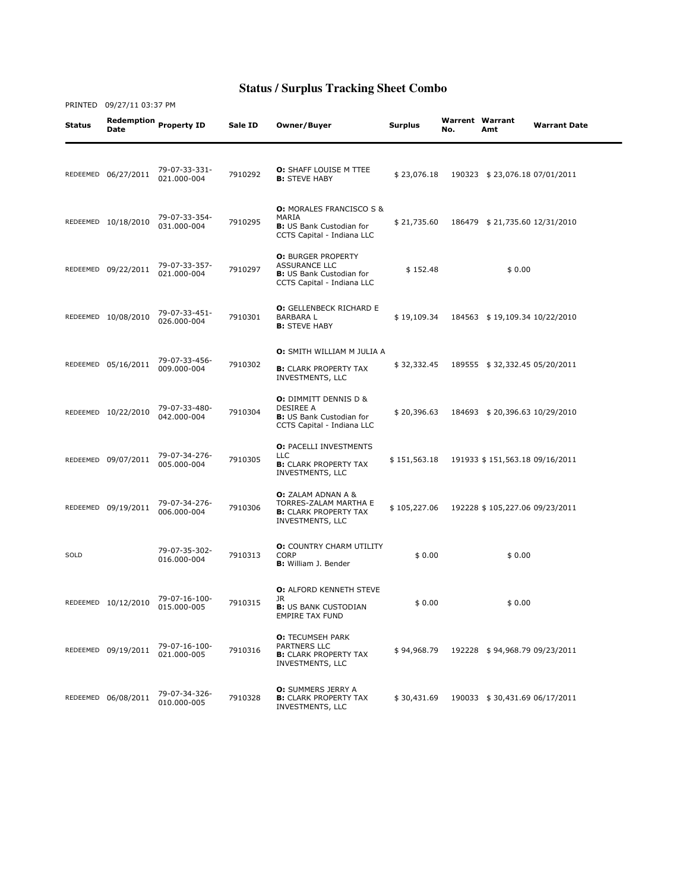| Status | Date                | Redemption Property ID       | Sale ID | Owner/Buyer                                                                                                        | Surplus      | <b>Warrent Warrant</b><br>No. | Amt                            | <b>Warrant Date</b> |
|--------|---------------------|------------------------------|---------|--------------------------------------------------------------------------------------------------------------------|--------------|-------------------------------|--------------------------------|---------------------|
|        | REDEEMED 06/27/2011 | 79-07-33-331-<br>021.000-004 | 7910292 | <b>O:</b> SHAFF LOUISE M TTEE<br><b>B: STEVE HABY</b>                                                              | \$23,076.18  |                               | 190323 \$23,076.18 07/01/2011  |                     |
|        | REDEEMED 10/18/2010 | 79-07-33-354-<br>031.000-004 | 7910295 | <b>O: MORALES FRANCISCO S &amp;</b><br>MARIA<br><b>B:</b> US Bank Custodian for<br>CCTS Capital - Indiana LLC      | \$21,735.60  |                               | 186479 \$21,735.60 12/31/2010  |                     |
|        | REDEEMED 09/22/2011 | 79-07-33-357-<br>021.000-004 | 7910297 | <b>O: BURGER PROPERTY</b><br><b>ASSURANCE LLC</b><br><b>B:</b> US Bank Custodian for<br>CCTS Capital - Indiana LLC | \$152.48     |                               | \$0.00                         |                     |
|        | REDEEMED 10/08/2010 | 79-07-33-451-<br>026.000-004 | 7910301 | <b>O:</b> GELLENBECK RICHARD E<br>BARBARA L<br><b>B:</b> STEVE HABY                                                | \$19,109.34  |                               | 184563 \$19,109.34 10/22/2010  |                     |
|        | REDEEMED 05/16/2011 | 79-07-33-456-<br>009.000-004 | 7910302 | O: SMITH WILLIAM M JULIA A<br><b>B:</b> CLARK PROPERTY TAX<br>INVESTMENTS, LLC                                     | \$32,332.45  |                               | 189555 \$32,332.45 05/20/2011  |                     |
|        | REDEEMED 10/22/2010 | 79-07-33-480-<br>042.000-004 | 7910304 | <b>O:</b> DIMMITT DENNIS D &<br>DESIREE A<br><b>B:</b> US Bank Custodian for<br>CCTS Capital - Indiana LLC         | \$20,396.63  |                               | 184693 \$20,396.63 10/29/2010  |                     |
|        | REDEEMED 09/07/2011 | 79-07-34-276-<br>005.000-004 | 7910305 | <b>O: PACELLI INVESTMENTS</b><br>LLC<br><b>B:</b> CLARK PROPERTY TAX<br>INVESTMENTS, LLC                           | \$151,563.18 |                               | 191933 \$151,563.18 09/16/2011 |                     |
|        | REDEEMED 09/19/2011 | 79-07-34-276-<br>006.000-004 | 7910306 | <b>O:</b> ZALAM ADNAN A &<br>TORRES-ZALAM MARTHA E<br><b>B:</b> CLARK PROPERTY TAX<br>INVESTMENTS, LLC             | \$105,227.06 |                               | 192228 \$105,227.06 09/23/2011 |                     |
| SOLD   |                     | 79-07-35-302-<br>016.000-004 | 7910313 | <b>O:</b> COUNTRY CHARM UTILITY<br><b>CORP</b><br><b>B:</b> William J. Bender                                      | \$0.00       |                               | \$0.00                         |                     |
|        | REDEEMED 10/12/2010 | 79-07-16-100-<br>015.000-005 | 7910315 | <b>O: ALFORD KENNETH STEVE</b><br>JR<br><b>B:</b> US BANK CUSTODIAN<br><b>EMPIRE TAX FUND</b>                      | \$0.00       |                               | \$0.00                         |                     |
|        | REDEEMED 09/19/2011 | 79-07-16-100-<br>021.000-005 | 7910316 | <b>O:</b> TECUMSEH PARK<br>PARTNERS LLC<br><b>B:</b> CLARK PROPERTY TAX<br>INVESTMENTS, LLC                        | \$94,968.79  |                               | 192228 \$94,968.79 09/23/2011  |                     |
|        | REDEEMED 06/08/2011 | 79-07-34-326-<br>010.000-005 | 7910328 | <b>O:</b> SUMMERS JERRY A<br><b>B:</b> CLARK PROPERTY TAX<br>INVESTMENTS, LLC                                      | \$30,431.69  |                               | 190033 \$30,431.69 06/17/2011  |                     |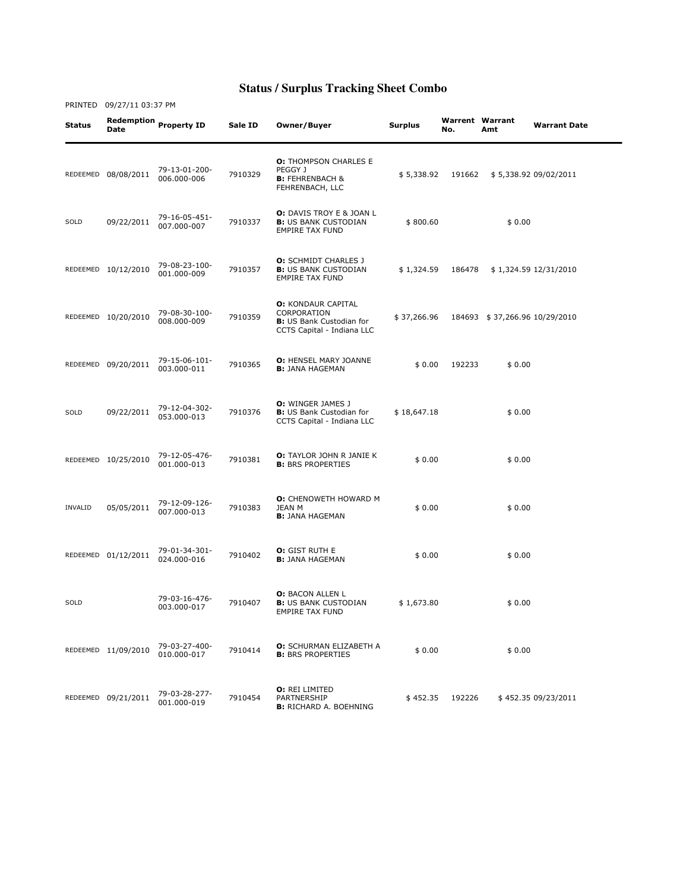| Status         | Date                | Redemption Property ID       | Sale ID | Owner/Buyer                                                                                               | <b>Surplus</b> | <b>Warrent Warrant</b><br>No. | Amt                           | <b>Warrant Date</b>   |
|----------------|---------------------|------------------------------|---------|-----------------------------------------------------------------------------------------------------------|----------------|-------------------------------|-------------------------------|-----------------------|
|                | REDEEMED 08/08/2011 | 79-13-01-200-<br>006.000-006 | 7910329 | <b>O:</b> THOMPSON CHARLES E<br>PEGGY J<br><b>B:</b> FEHRENBACH &<br>FEHRENBACH, LLC                      | \$5,338.92     | 191662                        |                               | \$5,338.92 09/02/2011 |
| SOLD           | 09/22/2011          | 79-16-05-451-<br>007.000-007 | 7910337 | <b>O:</b> DAVIS TROY E & JOAN L<br><b>B:</b> US BANK CUSTODIAN<br><b>EMPIRE TAX FUND</b>                  | \$800.60       |                               | \$0.00                        |                       |
|                | REDEEMED 10/12/2010 | 79-08-23-100-<br>001.000-009 | 7910357 | <b>O:</b> SCHMIDT CHARLES J<br><b>B:</b> US BANK CUSTODIAN<br><b>EMPIRE TAX FUND</b>                      | \$1,324.59     | 186478                        |                               | \$1,324.59 12/31/2010 |
|                | REDEEMED 10/20/2010 | 79-08-30-100-<br>008.000-009 | 7910359 | <b>O: KONDAUR CAPITAL</b><br>CORPORATION<br><b>B:</b> US Bank Custodian for<br>CCTS Capital - Indiana LLC | \$37,266.96    |                               | 184693 \$37,266.96 10/29/2010 |                       |
|                | REDEEMED 09/20/2011 | 79-15-06-101-<br>003.000-011 | 7910365 | <b>O: HENSEL MARY JOANNE</b><br><b>B:</b> JANA HAGEMAN                                                    | \$0.00         | 192233                        | \$0.00                        |                       |
| SOLD           | 09/22/2011          | 79-12-04-302-<br>053.000-013 | 7910376 | <b>O:</b> WINGER JAMES J<br><b>B:</b> US Bank Custodian for<br>CCTS Capital - Indiana LLC                 | \$18,647.18    |                               | \$0.00                        |                       |
|                | REDEEMED 10/25/2010 | 79-12-05-476-<br>001.000-013 | 7910381 | O: TAYLOR JOHN R JANIE K<br><b>B:</b> BRS PROPERTIES                                                      | \$0.00         |                               | \$0.00                        |                       |
| <b>INVALID</b> | 05/05/2011          | 79-12-09-126-<br>007.000-013 | 7910383 | <b>O:</b> CHENOWETH HOWARD M<br>JEAN M<br><b>B:</b> JANA HAGEMAN                                          | \$0.00         |                               | \$0.00                        |                       |
|                | REDEEMED 01/12/2011 | 79-01-34-301-<br>024.000-016 | 7910402 | <b>O:</b> GIST RUTH E<br><b>B:</b> JANA HAGEMAN                                                           | \$0.00         |                               | \$0.00                        |                       |
| SOLD           |                     | 79-03-16-476-<br>003.000-017 | 7910407 | <b>O: BACON ALLEN L</b><br><b>B:</b> US BANK CUSTODIAN<br><b>EMPIRE TAX FUND</b>                          | \$1,673.80     |                               | \$0.00                        |                       |
|                | REDEEMED 11/09/2010 | 79-03-27-400-<br>010.000-017 | 7910414 | <b>O:</b> SCHURMAN ELIZABETH A<br><b>B:</b> BRS PROPERTIES                                                | \$0.00         |                               | \$0.00                        |                       |
|                | REDEEMED 09/21/2011 | 79-03-28-277-<br>001.000-019 | 7910454 | O: REI LIMITED<br>PARTNERSHIP<br><b>B:</b> RICHARD A. BOEHNING                                            | \$452.35       | 192226                        |                               | \$452.35 09/23/2011   |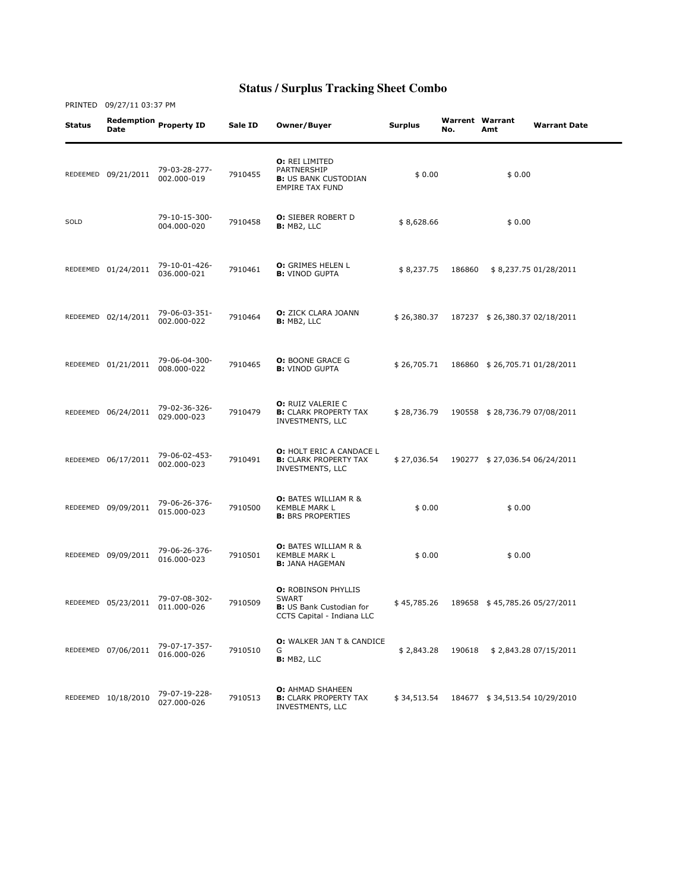| Status | <b>Date</b>         | Redemption Property ID       | Sale ID | Owner/Buyer                                                                                                 | <b>Surplus</b> | No.    | <b>Warrent Warrant</b><br>Amt | <b>Warrant Date</b>   |
|--------|---------------------|------------------------------|---------|-------------------------------------------------------------------------------------------------------------|----------------|--------|-------------------------------|-----------------------|
|        | REDEEMED 09/21/2011 | 79-03-28-277-<br>002.000-019 | 7910455 | <b>O: REI LIMITED</b><br>PARTNERSHIP<br><b>B:</b> US BANK CUSTODIAN<br><b>EMPIRE TAX FUND</b>               | \$0.00         |        | \$0.00                        |                       |
| SOLD   |                     | 79-10-15-300-<br>004.000-020 | 7910458 | <b>O:</b> SIEBER ROBERT D<br>B: MB2, LLC                                                                    | \$8,628.66     |        | \$0.00                        |                       |
|        | REDEEMED 01/24/2011 | 79-10-01-426-<br>036.000-021 | 7910461 | <b>O:</b> GRIMES HELEN L<br><b>B:</b> VINOD GUPTA                                                           | \$8,237.75     | 186860 |                               | \$8,237.75 01/28/2011 |
|        | REDEEMED 02/14/2011 | 79-06-03-351-<br>002.000-022 | 7910464 | <b>O:</b> ZICK CLARA JOANN<br>B: MB2, LLC                                                                   | \$26,380.37    |        | 187237 \$26,380.37 02/18/2011 |                       |
|        | REDEEMED 01/21/2011 | 79-06-04-300-<br>008.000-022 | 7910465 | <b>O: BOONE GRACE G</b><br><b>B:</b> VINOD GUPTA                                                            | \$26,705.71    |        | 186860 \$26,705.71 01/28/2011 |                       |
|        | REDEEMED 06/24/2011 | 79-02-36-326-<br>029.000-023 | 7910479 | <b>O:</b> RUIZ VALERIE C<br><b>B:</b> CLARK PROPERTY TAX<br>INVESTMENTS, LLC                                | \$28,736.79    |        | 190558 \$28,736.79 07/08/2011 |                       |
|        | REDEEMED 06/17/2011 | 79-06-02-453-<br>002.000-023 | 7910491 | <b>O: HOLT ERIC A CANDACE L</b><br><b>B:</b> CLARK PROPERTY TAX<br>INVESTMENTS, LLC                         | \$27,036.54    |        | 190277 \$27,036.54 06/24/2011 |                       |
|        | REDEEMED 09/09/2011 | 79-06-26-376-<br>015.000-023 | 7910500 | <b>O:</b> BATES WILLIAM R &<br><b>KEMBLE MARK L</b><br><b>B:</b> BRS PROPERTIES                             | \$0.00         |        | \$0.00                        |                       |
|        | REDEEMED 09/09/2011 | 79-06-26-376-<br>016.000-023 | 7910501 | <b>O:</b> BATES WILLIAM R &<br><b>KEMBLE MARK L</b><br><b>B:</b> JANA HAGEMAN                               | \$0.00         |        | \$0.00                        |                       |
|        | REDEEMED 05/23/2011 | 79-07-08-302-<br>011.000-026 | 7910509 | <b>O: ROBINSON PHYLLIS</b><br><b>SWART</b><br><b>B:</b> US Bank Custodian for<br>CCTS Capital - Indiana LLC | \$45,785.26    |        | 189658 \$45,785.26 05/27/2011 |                       |
|        | REDEEMED 07/06/2011 | 79-07-17-357-<br>016.000-026 | 7910510 | <b>O:</b> WALKER JAN T & CANDICE<br>G<br>B: MB2, LLC                                                        | \$2,843.28     | 190618 |                               | \$2,843.28 07/15/2011 |
|        | REDEEMED 10/18/2010 | 79-07-19-228-<br>027.000-026 | 7910513 | <b>O:</b> AHMAD SHAHEEN<br><b>B:</b> CLARK PROPERTY TAX<br>INVESTMENTS, LLC                                 | \$34,513.54    |        | 184677 \$34,513.54 10/29/2010 |                       |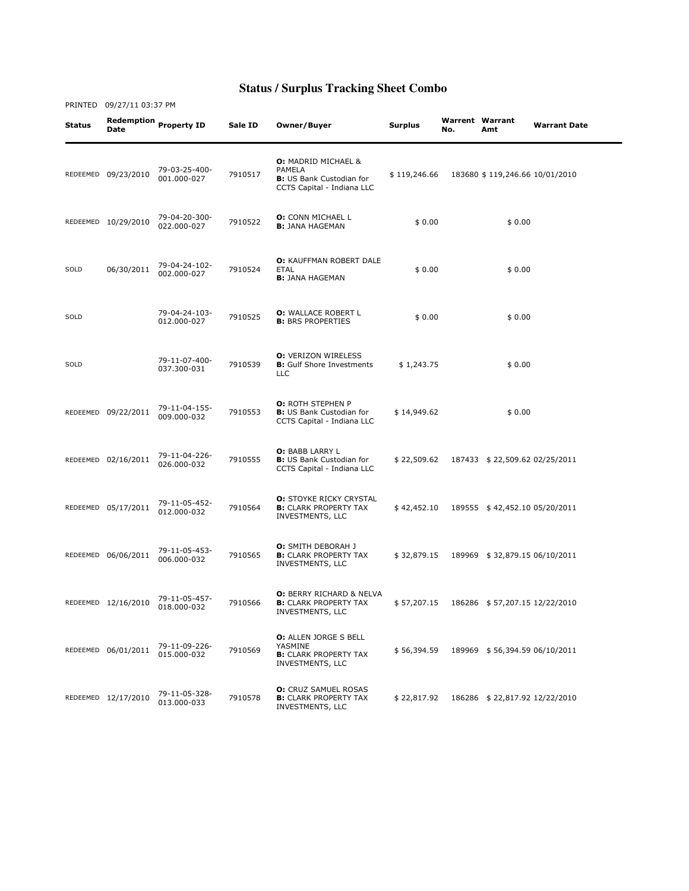| Status   | Date                | Redemption Property ID       | Sale ID | Owner/Buyer                                                                                               | Surplus      | <b>Warrent Warrant</b><br>No. | Amt                            | <b>Warrant Date</b> |
|----------|---------------------|------------------------------|---------|-----------------------------------------------------------------------------------------------------------|--------------|-------------------------------|--------------------------------|---------------------|
|          | REDEEMED 09/23/2010 | 79-03-25-400-<br>001.000-027 | 7910517 | <b>O: MADRID MICHAEL &amp;</b><br>PAMELA<br><b>B:</b> US Bank Custodian for<br>CCTS Capital - Indiana LLC | \$119,246.66 |                               | 183680 \$119,246.66 10/01/2010 |                     |
|          | REDEEMED 10/29/2010 | 79-04-20-300-<br>022.000-027 | 7910522 | <b>O:</b> CONN MICHAEL L<br><b>B:</b> JANA HAGEMAN                                                        | \$0.00       |                               | \$0.00                         |                     |
| SOLD     | 06/30/2011          | 79-04-24-102-<br>002.000-027 | 7910524 | O: KAUFFMAN ROBERT DALE<br><b>ETAL</b><br><b>B:</b> JANA HAGEMAN                                          | \$0.00       |                               | \$0.00                         |                     |
| SOLD     |                     | 79-04-24-103-<br>012.000-027 | 7910525 | <b>O:</b> WALLACE ROBERT L<br><b>B:</b> BRS PROPERTIES                                                    | \$0.00       |                               | \$0.00                         |                     |
| SOLD     |                     | 79-11-07-400-<br>037.300-031 | 7910539 | <b>O: VERIZON WIRELESS</b><br><b>B:</b> Gulf Shore Investments<br><b>LLC</b>                              | \$1,243.75   |                               | \$0.00                         |                     |
|          | REDEEMED 09/22/2011 | 79-11-04-155-<br>009.000-032 | 7910553 | <b>O:</b> ROTH STEPHEN P<br><b>B:</b> US Bank Custodian for<br>CCTS Capital - Indiana LLC                 | \$14,949.62  |                               | \$0.00                         |                     |
|          | REDEEMED 02/16/2011 | 79-11-04-226-<br>026.000-032 | 7910555 | <b>O: BABB LARRY L</b><br><b>B:</b> US Bank Custodian for<br>CCTS Capital - Indiana LLC                   | \$22,509.62  |                               | 187433 \$22,509.62 02/25/2011  |                     |
|          | REDEEMED 05/17/2011 | 79-11-05-452-<br>012.000-032 | 7910564 | <b>O: STOYKE RICKY CRYSTAL</b><br><b>B:</b> CLARK PROPERTY TAX<br>INVESTMENTS, LLC                        | \$42,452.10  |                               | 189555 \$42,452.10 05/20/2011  |                     |
| REDEEMED | 06/06/2011          | 79-11-05-453-<br>006.000-032 | 7910565 | <b>O:</b> SMITH DEBORAH J<br><b>B:</b> CLARK PROPERTY TAX<br>INVESTMENTS, LLC                             | \$32,879.15  |                               | 189969 \$32,879.15 06/10/2011  |                     |
|          | REDEEMED 12/16/2010 | 79-11-05-457-<br>018.000-032 | 7910566 | <b>O: BERRY RICHARD &amp; NELVA</b><br><b>B:</b> CLARK PROPERTY TAX<br>INVESTMENTS, LLC                   | \$57,207.15  |                               | 186286 \$57,207.15 12/22/2010  |                     |
|          | REDEEMED 06/01/2011 | 79-11-09-226-<br>015.000-032 | 7910569 | <b>O:</b> ALLEN JORGE S BELL<br>YASMINE<br><b>B:</b> CLARK PROPERTY TAX<br>INVESTMENTS, LLC               | \$56,394.59  |                               | 189969 \$56,394.59 06/10/2011  |                     |
|          | REDEEMED 12/17/2010 | 79-11-05-328-<br>013.000-033 | 7910578 | <b>O:</b> CRUZ SAMUEL ROSAS<br><b>B:</b> CLARK PROPERTY TAX<br>INVESTMENTS, LLC                           | \$22,817.92  |                               | 186286 \$22,817.92 12/22/2010  |                     |